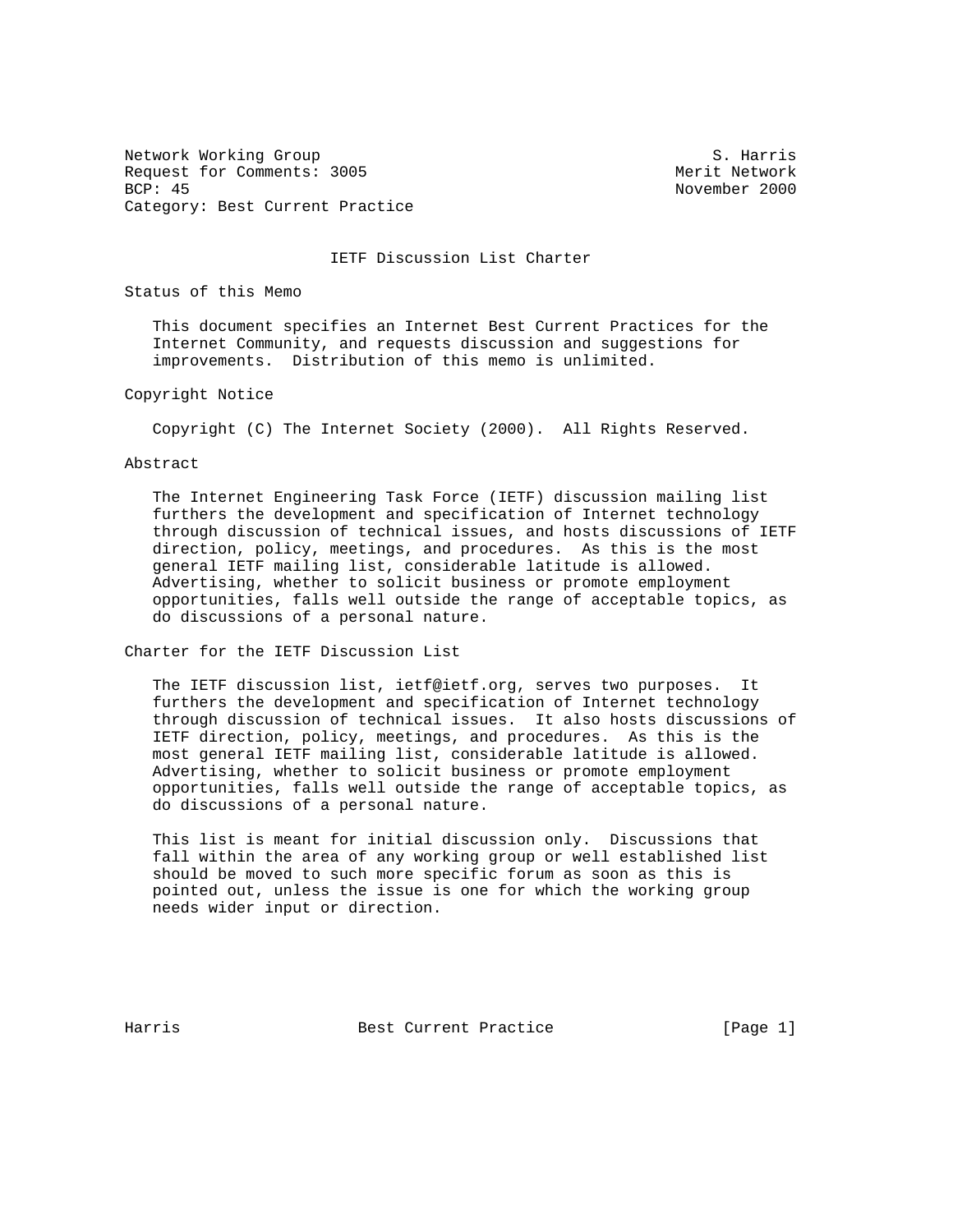Network Working Group S. Harris Request for Comments: 3005 Merit Network BCP: 45 November 2000 Category: Best Current Practice

IETF Discussion List Charter

Status of this Memo

 This document specifies an Internet Best Current Practices for the Internet Community, and requests discussion and suggestions for improvements. Distribution of this memo is unlimited.

Copyright Notice

Copyright (C) The Internet Society (2000). All Rights Reserved.

Abstract

 The Internet Engineering Task Force (IETF) discussion mailing list furthers the development and specification of Internet technology through discussion of technical issues, and hosts discussions of IETF direction, policy, meetings, and procedures. As this is the most general IETF mailing list, considerable latitude is allowed. Advertising, whether to solicit business or promote employment opportunities, falls well outside the range of acceptable topics, as do discussions of a personal nature.

Charter for the IETF Discussion List

 The IETF discussion list, ietf@ietf.org, serves two purposes. It furthers the development and specification of Internet technology through discussion of technical issues. It also hosts discussions of IETF direction, policy, meetings, and procedures. As this is the most general IETF mailing list, considerable latitude is allowed. Advertising, whether to solicit business or promote employment opportunities, falls well outside the range of acceptable topics, as do discussions of a personal nature.

 This list is meant for initial discussion only. Discussions that fall within the area of any working group or well established list should be moved to such more specific forum as soon as this is pointed out, unless the issue is one for which the working group needs wider input or direction.

Harris **Best Current Practice** [Page 1]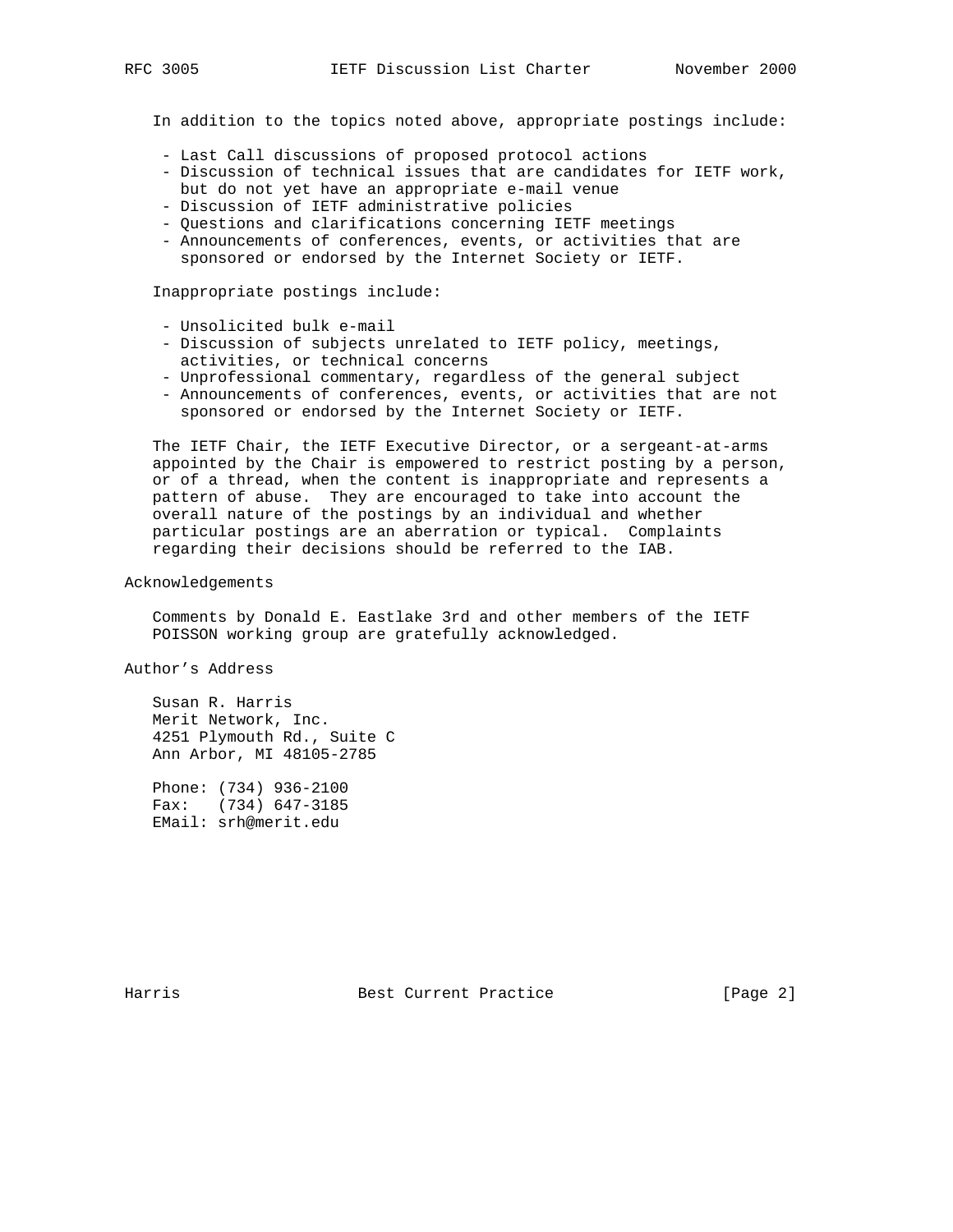In addition to the topics noted above, appropriate postings include:

- Last Call discussions of proposed protocol actions
- Discussion of technical issues that are candidates for IETF work, but do not yet have an appropriate e-mail venue
- Discussion of IETF administrative policies
- Questions and clarifications concerning IETF meetings
- Announcements of conferences, events, or activities that are sponsored or endorsed by the Internet Society or IETF.

Inappropriate postings include:

- Unsolicited bulk e-mail
- Discussion of subjects unrelated to IETF policy, meetings, activities, or technical concerns
- Unprofessional commentary, regardless of the general subject
- Announcements of conferences, events, or activities that are not sponsored or endorsed by the Internet Society or IETF.

 The IETF Chair, the IETF Executive Director, or a sergeant-at-arms appointed by the Chair is empowered to restrict posting by a person, or of a thread, when the content is inappropriate and represents a pattern of abuse. They are encouraged to take into account the overall nature of the postings by an individual and whether particular postings are an aberration or typical. Complaints regarding their decisions should be referred to the IAB.

Acknowledgements

 Comments by Donald E. Eastlake 3rd and other members of the IETF POISSON working group are gratefully acknowledged.

Author's Address

 Susan R. Harris Merit Network, Inc. 4251 Plymouth Rd., Suite C Ann Arbor, MI 48105-2785

 Phone: (734) 936-2100 Fax: (734) 647-3185 EMail: srh@merit.edu

Harris Best Current Practice [Page 2]